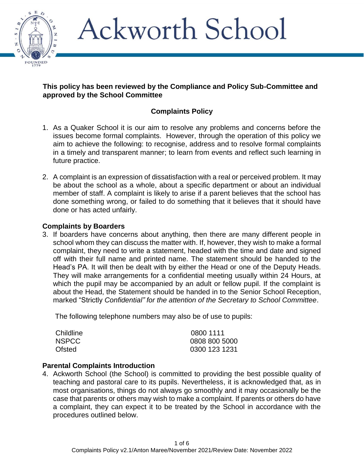

#### **This policy has been reviewed by the Compliance and Policy Sub-Committee and approved by the School Committee**

## **Complaints Policy**

- 1. As a Quaker School it is our aim to resolve any problems and concerns before the issues become formal complaints. However, through the operation of this policy we aim to achieve the following: to recognise, address and to resolve formal complaints in a timely and transparent manner; to learn from events and reflect such learning in future practice.
- 2. A complaint is an expression of dissatisfaction with a real or perceived problem. It may be about the school as a whole, about a specific department or about an individual member of staff. A complaint is likely to arise if a parent believes that the school has done something wrong, or failed to do something that it believes that it should have done or has acted unfairly.

#### **Complaints by Boarders**

3. If boarders have concerns about anything, then there are many different people in school whom they can discuss the matter with. If, however, they wish to make a formal complaint, they need to write a statement, headed with the time and date and signed off with their full name and printed name. The statement should be handed to the Head's PA. It will then be dealt with by either the Head or one of the Deputy Heads. They will make arrangements for a confidential meeting usually within 24 Hours, at which the pupil may be accompanied by an adult or fellow pupil. If the complaint is about the Head, the Statement should be handed in to the Senior School Reception, marked "Strictly *Confidential" for the attention of the Secretary to School Committee*.

The following telephone numbers may also be of use to pupils:

| Childline    | 0800 1111     |
|--------------|---------------|
| <b>NSPCC</b> | 0808 800 5000 |
| Ofsted       | 0300 123 1231 |

#### **Parental Complaints Introduction**

4. Ackworth School (the School) is committed to providing the best possible quality of teaching and pastoral care to its pupils. Nevertheless, it is acknowledged that, as in most organisations, things do not always go smoothly and it may occasionally be the case that parents or others may wish to make a complaint. If parents or others do have a complaint, they can expect it to be treated by the School in accordance with the procedures outlined below.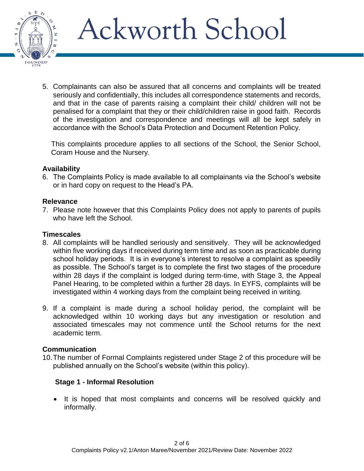

5. Complainants can also be assured that all concerns and complaints will be treated seriously and confidentially, this includes all correspondence statements and records, and that in the case of parents raising a complaint their child/ children will not be penalised for a complaint that they or their child/children raise in good faith. Records of the investigation and correspondence and meetings will all be kept safely in accordance with the School's Data Protection and Document Retention Policy.

This complaints procedure applies to all sections of the School, the Senior School, Coram House and the Nursery.

#### **Availability**

6. The Complaints Policy is made available to all complainants via the School's website or in hard copy on request to the Head's PA.

#### **Relevance**

7. Please note however that this Complaints Policy does not apply to parents of pupils who have left the School.

#### **Timescales**

- 8. All complaints will be handled seriously and sensitively. They will be acknowledged within five working days if received during term time and as soon as practicable during school holiday periods. It is in everyone's interest to resolve a complaint as speedily as possible. The School's target is to complete the first two stages of the procedure within 28 days if the complaint is lodged during term-time, with Stage 3, the Appeal Panel Hearing, to be completed within a further 28 days. In EYFS, complaints will be investigated within 4 working days from the complaint being received in writing.
- 9. If a complaint is made during a school holiday period, the complaint will be acknowledged within 10 working days but any investigation or resolution and associated timescales may not commence until the School returns for the next academic term.

#### **Communication**

10.The number of Formal Complaints registered under Stage 2 of this procedure will be published annually on the School's website (within this policy).

#### **Stage 1 - Informal Resolution**

• It is hoped that most complaints and concerns will be resolved quickly and informally.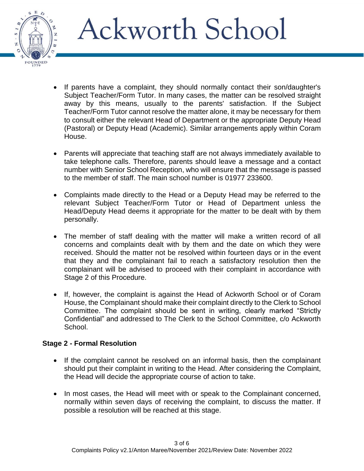- If parents have a complaint, they should normally contact their son/daughter's Subject Teacher/Form Tutor. In many cases, the matter can be resolved straight away by this means, usually to the parents' satisfaction. If the Subject Teacher/Form Tutor cannot resolve the matter alone, it may be necessary for them to consult either the relevant Head of Department or the appropriate Deputy Head (Pastoral) or Deputy Head (Academic). Similar arrangements apply within Coram House.
- Parents will appreciate that teaching staff are not always immediately available to take telephone calls. Therefore, parents should leave a message and a contact number with Senior School Reception, who will ensure that the message is passed to the member of staff. The main school number is 01977 233600.
- Complaints made directly to the Head or a Deputy Head may be referred to the relevant Subject Teacher/Form Tutor or Head of Department unless the Head/Deputy Head deems it appropriate for the matter to be dealt with by them personally.
- The member of staff dealing with the matter will make a written record of all concerns and complaints dealt with by them and the date on which they were received. Should the matter not be resolved within fourteen days or in the event that they and the complainant fail to reach a satisfactory resolution then the complainant will be advised to proceed with their complaint in accordance with Stage 2 of this Procedure.
- If, however, the complaint is against the Head of Ackworth School or of Coram House, the Complainant should make their complaint directly to the Clerk to School Committee. The complaint should be sent in writing, clearly marked "Strictly Confidential" and addressed to The Clerk to the School Committee, c/o Ackworth School.

## **Stage 2 - Formal Resolution**

FOUNDED

- If the complaint cannot be resolved on an informal basis, then the complainant should put their complaint in writing to the Head. After considering the Complaint, the Head will decide the appropriate course of action to take.
- In most cases, the Head will meet with or speak to the Complainant concerned, normally within seven days of receiving the complaint, to discuss the matter. If possible a resolution will be reached at this stage.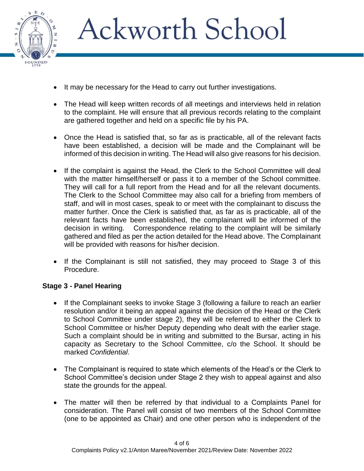

- It may be necessary for the Head to carry out further investigations.
- The Head will keep written records of all meetings and interviews held in relation to the complaint. He will ensure that all previous records relating to the complaint are gathered together and held on a specific file by his PA.
- Once the Head is satisfied that, so far as is practicable, all of the relevant facts have been established, a decision will be made and the Complainant will be informed of this decision in writing. The Head will also give reasons for his decision.
- If the complaint is against the Head, the Clerk to the School Committee will deal with the matter himself/herself or pass it to a member of the School committee. They will call for a full report from the Head and for all the relevant documents. The Clerk to the School Committee may also call for a briefing from members of staff, and will in most cases, speak to or meet with the complainant to discuss the matter further. Once the Clerk is satisfied that, as far as is practicable, all of the relevant facts have been established, the complainant will be informed of the decision in writing. Correspondence relating to the complaint will be similarly gathered and filed as per the action detailed for the Head above. The Complainant will be provided with reasons for his/her decision.
- If the Complainant is still not satisfied, they may proceed to Stage 3 of this Procedure.

### **Stage 3 - Panel Hearing**

- If the Complainant seeks to invoke Stage 3 (following a failure to reach an earlier resolution and/or it being an appeal against the decision of the Head or the Clerk to School Committee under stage 2), they will be referred to either the Clerk to School Committee or his/her Deputy depending who dealt with the earlier stage. Such a complaint should be in writing and submitted to the Bursar, acting in his capacity as Secretary to the School Committee, c/o the School. It should be marked *Confidential*.
- The Complainant is required to state which elements of the Head's or the Clerk to School Committee's decision under Stage 2 they wish to appeal against and also state the grounds for the appeal.
- The matter will then be referred by that individual to a Complaints Panel for consideration. The Panel will consist of two members of the School Committee (one to be appointed as Chair) and one other person who is independent of the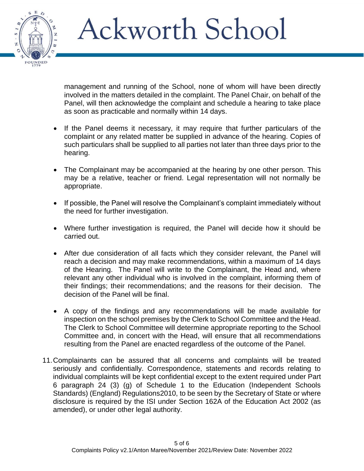management and running of the School, none of whom will have been directly involved in the matters detailed in the complaint. The Panel Chair, on behalf of the Panel, will then acknowledge the complaint and schedule a hearing to take place as soon as practicable and normally within 14 days.

- If the Panel deems it necessary, it may require that further particulars of the complaint or any related matter be supplied in advance of the hearing. Copies of such particulars shall be supplied to all parties not later than three days prior to the hearing.
- The Complainant may be accompanied at the hearing by one other person. This may be a relative, teacher or friend. Legal representation will not normally be appropriate.
- If possible, the Panel will resolve the Complainant's complaint immediately without the need for further investigation.
- Where further investigation is required, the Panel will decide how it should be carried out.
- After due consideration of all facts which they consider relevant, the Panel will reach a decision and may make recommendations, within a maximum of 14 days of the Hearing. The Panel will write to the Complainant, the Head and, where relevant any other individual who is involved in the complaint, informing them of their findings; their recommendations; and the reasons for their decision. The decision of the Panel will be final.
- A copy of the findings and any recommendations will be made available for inspection on the school premises by the Clerk to School Committee and the Head. The Clerk to School Committee will determine appropriate reporting to the School Committee and, in concert with the Head, will ensure that all recommendations resulting from the Panel are enacted regardless of the outcome of the Panel.
- 11.Complainants can be assured that all concerns and complaints will be treated seriously and confidentially. Correspondence, statements and records relating to individual complaints will be kept confidential except to the extent required under Part 6 paragraph 24 (3) (g) of Schedule 1 to the Education (Independent Schools Standards) (England) Regulations2010, to be seen by the Secretary of State or where disclosure is required by the ISI under Section 162A of the Education Act 2002 (as amended), or under other legal authority.